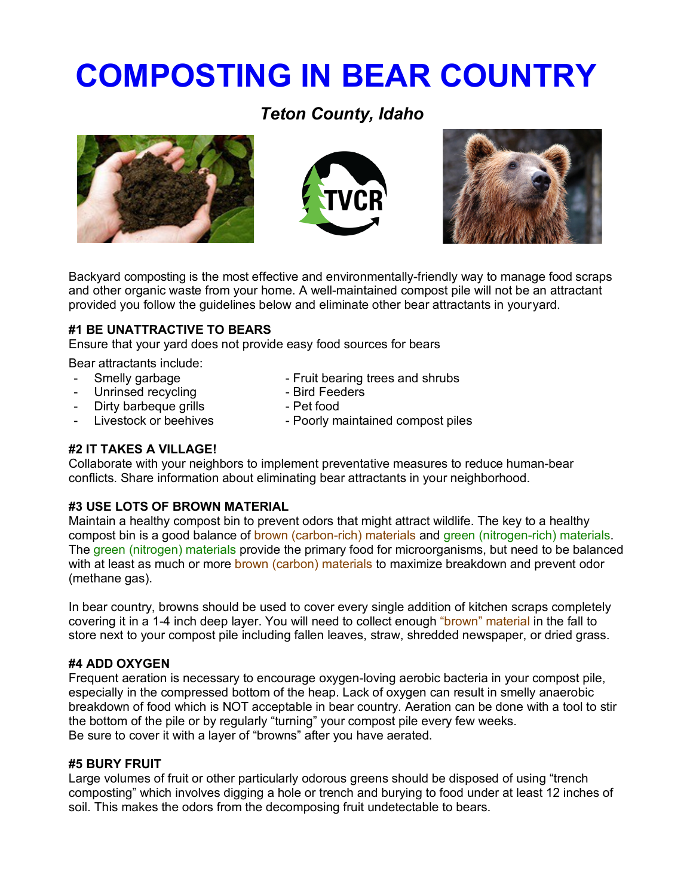# **COMPOSTING IN BEAR COUNTRY**

### *Teton County, Idaho*







Backyard composting is the most effective and environmentally-friendly way to manage food scraps and other organic waste from your home. A well-maintained compost pile will not be an attractant provided you follow the guidelines below and eliminate other bear attractants in youryard.

#### **#1 BE UNATTRACTIVE TO BEARS**

Ensure that your yard does not provide easy food sources for bears

Bear attractants include:

- Smelly garbage Fruit bearing trees and shrubs<br>- Unrinsed recycling - Bird Feeders
- Unrinsed recycling
- Dirty barbeque grills Pet food
- 
- 
- 
- Livestock or beehives Poorly maintained compost piles

#### **#2 IT TAKES A VILLAGE!**

Collaborate with your neighbors to implement preventative measures to reduce human-bear conflicts. Share information about eliminating bear attractants in your neighborhood.

#### **#3 USE LOTS OF BROWN MATERIAL**

Maintain a healthy compost bin to prevent odors that might attract wildlife. The key to a healthy compost bin is a good balance of brown (carbon-rich) materials and green (nitrogen-rich) materials. The green (nitrogen) materials provide the primary food for microorganisms, but need to be balanced with at least as much or more brown (carbon) materials to maximize breakdown and prevent odor (methane gas).

In bear country, browns should be used to cover every single addition of kitchen scraps completely covering it in a 1-4 inch deep layer. You will need to collect enough "brown" material in the fall to store next to your compost pile including fallen leaves, straw, shredded newspaper, or dried grass.

#### **#4 ADD OXYGEN**

Frequent aeration is necessary to encourage oxygen-loving aerobic bacteria in your compost pile, especially in the compressed bottom of the heap. Lack of oxygen can result in smelly anaerobic breakdown of food which is NOT acceptable in bear country. Aeration can be done with a tool to stir the bottom of the pile or by regularly "turning" your compost pile every few weeks. Be sure to cover it with a layer of "browns" after you have aerated.

#### **#5 BURY FRUIT**

Large volumes of fruit or other particularly odorous greens should be disposed of using "trench composting" which involves digging a hole or trench and burying to food under at least 12 inches of soil. This makes the odors from the decomposing fruit undetectable to bears.